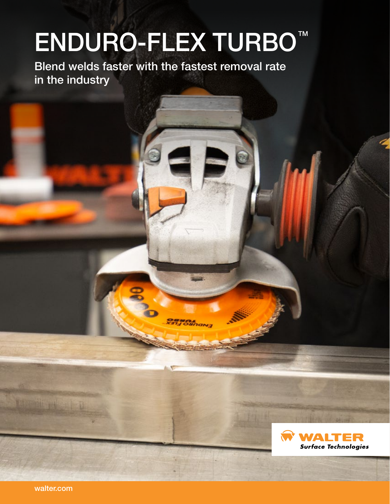# **ENDURO-FLEX TURBO™**

**OBMOL**<br>X31 JOMNON3

Blend welds faster with the fastest removal rate in the industry



walter.com

ture dit extent to